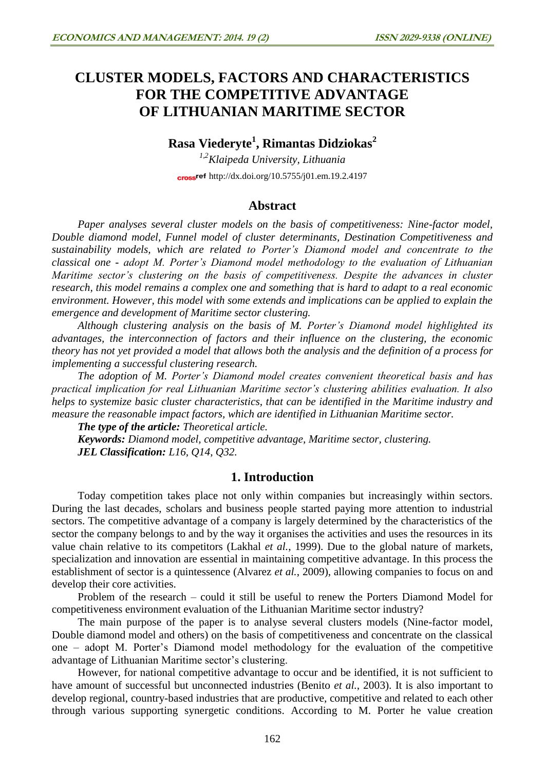# **CLUSTER MODELS, FACTORS AND CHARACTERISTICS FOR THE COMPETITIVE ADVANTAGE OF LITHUANIAN MARITIME SECTOR**

# **Rasa Viederyte<sup>1</sup> , Rimantas Didziokas<sup>2</sup>**

*1,2Klaipeda University, Lithuania* cross<sup>ref</sup> <http://dx.doi.org/10.5755/j01.em.19.2.4197>

### **Abstract**

*Paper analyses several cluster models on the basis of competitiveness: Nine-factor model, Double diamond model, Funnel model of cluster determinants, Destination Competitiveness and sustainability models, which are related to Porter's Diamond model and concentrate to the classical one - adopt M. Porter's Diamond model methodology to the evaluation of Lithuanian Maritime sector's clustering on the basis of competitiveness. Despite the advances in cluster research, this model remains a complex one and something that is hard to adapt to a real economic environment. However, this model with some extends and implications can be applied to explain the emergence and development of Maritime sector clustering.* 

*Although clustering analysis on the basis of M. Porter's Diamond model highlighted its advantages, the interconnection of factors and their influence on the clustering, the economic theory has not yet provided a model that allows both the analysis and the definition of a process for implementing a successful clustering research.* 

*The adoption of M. Porter's Diamond model creates convenient theoretical basis and has practical implication for real Lithuanian Maritime sector's clustering abilities evaluation. It also helps to systemize basic cluster characteristics, that can be identified in the Maritime industry and measure the reasonable impact factors, which are identified in Lithuanian Maritime sector.*

*The type of the article: Theoretical article. Keywords: Diamond model, competitive advantage, Maritime sector, clustering. JEL Classification: L16, Q14, Q32.*

# **1. Introduction**

Today competition takes place not only within companies but increasingly within sectors. During the last decades, scholars and business people started paying more attention to industrial sectors. The competitive advantage of a company is largely determined by the characteristics of the sector the company belongs to and by the way it organises the activities and uses the resources in its value chain relative to its competitors (Lakhal *et al.*, 1999). Due to the global nature of markets, specialization and innovation are essential in maintaining competitive advantage. In this process the establishment of sector is a quintessence (Alvarez *et al.*, 2009), allowing companies to focus on and develop their core activities.

Problem of the research – could it still be useful to renew the Porters Diamond Model for competitiveness environment evaluation of the Lithuanian Maritime sector industry?

The main purpose of the paper is to analyse several clusters models (Nine-factor model, Double diamond model and others) on the basis of competitiveness and concentrate on the classical one – adopt M. Porter's Diamond model methodology for the evaluation of the competitive advantage of Lithuanian Maritime sector's clustering.

However, for national competitive advantage to occur and be identified, it is not sufficient to have amount of successful but unconnected industries (Benito *et al.*, 2003). It is also important to develop regional, country-based industries that are productive, competitive and related to each other through various supporting synergetic conditions. According to M. Porter he value creation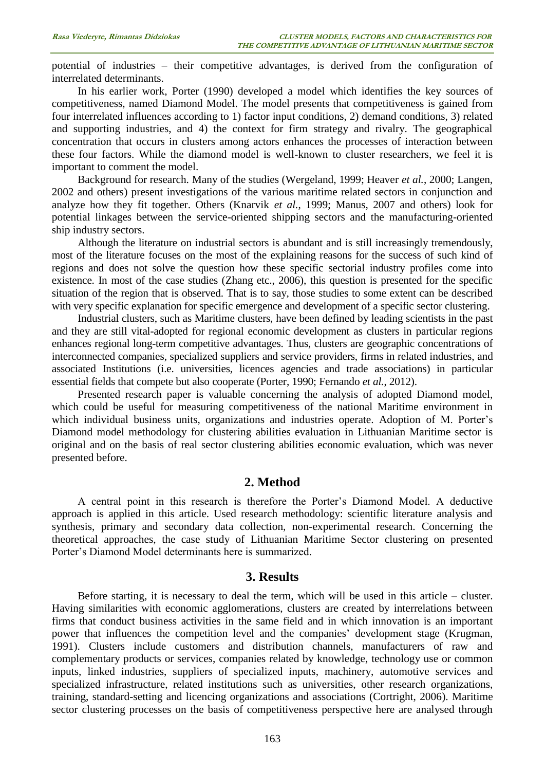potential of industries – their competitive advantages, is derived from the configuration of interrelated determinants.

In his earlier work, Porter (1990) developed a model which identifies the key sources of competitiveness, named Diamond Model. The model presents that competitiveness is gained from four interrelated influences according to 1) factor input conditions, 2) demand conditions, 3) related and supporting industries, and 4) the context for firm strategy and rivalry. The geographical concentration that occurs in clusters among actors enhances the processes of interaction between these four factors. While the diamond model is well-known to cluster researchers, we feel it is important to comment the model.

Background for research. Many of the studies (Wergeland, 1999; Heaver *et al.*, 2000; Langen, 2002 and others) present investigations of the various maritime related sectors in conjunction and analyze how they fit together. Others (Knarvik *et al.*, 1999; Manus, 2007 and others) look for potential linkages between the service-oriented shipping sectors and the manufacturing-oriented ship industry sectors.

Although the literature on industrial sectors is abundant and is still increasingly tremendously, most of the literature focuses on the most of the explaining reasons for the success of such kind of regions and does not solve the question how these specific sectorial industry profiles come into existence. In most of the case studies (Zhang etc., 2006), this question is presented for the specific situation of the region that is observed. That is to say, those studies to some extent can be described with very specific explanation for specific emergence and development of a specific sector clustering.

Industrial clusters, such as Maritime clusters, have been defined by leading scientists in the past and they are still vital-adopted for regional economic development as clusters in particular regions enhances regional long-term competitive advantages. Thus, clusters are geographic concentrations of interconnected companies, specialized suppliers and service providers, firms in related industries, and associated Institutions (i.e. universities, licences agencies and trade associations) in particular essential fields that compete but also cooperate (Porter, 1990; Fernando *et al.*, 2012).

Presented research paper is valuable concerning the analysis of adopted Diamond model, which could be useful for measuring competitiveness of the national Maritime environment in which individual business units, organizations and industries operate. Adoption of M. Porter's Diamond model methodology for clustering abilities evaluation in Lithuanian Maritime sector is original and on the basis of real sector clustering abilities economic evaluation, which was never presented before.

# **2. Method**

A central point in this research is therefore the Porter's Diamond Model. A deductive approach is applied in this article. Used research methodology: scientific literature analysis and synthesis, primary and secondary data collection, non-experimental research. Concerning the theoretical approaches, the case study of Lithuanian Maritime Sector clustering on presented Porter's Diamond Model determinants here is summarized.

# **3. Results**

Before starting, it is necessary to deal the term, which will be used in this article – cluster. Having similarities with economic agglomerations, clusters are created by interrelations between firms that conduct business activities in the same field and in which innovation is an important power that influences the competition level and the companies' development stage (Krugman, 1991). Clusters include customers and distribution channels, manufacturers of raw and complementary products or services, companies related by knowledge, technology use or common inputs, linked industries, suppliers of specialized inputs, machinery, automotive services and specialized infrastructure, related institutions such as universities, other research organizations, training, standard-setting and licencing organizations and associations (Cortright, 2006). Maritime sector clustering processes on the basis of competitiveness perspective here are analysed through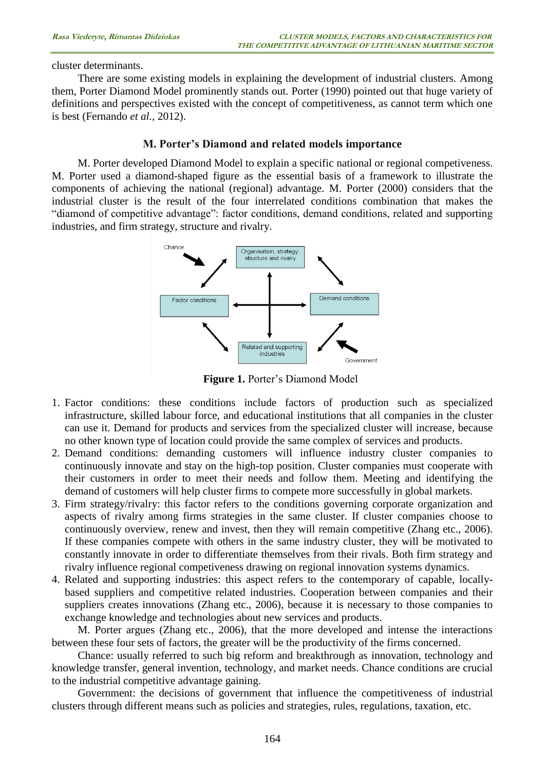cluster determinants.

There are some existing models in explaining the development of industrial clusters. Among them, Porter Diamond Model prominently stands out. Porter (1990) pointed out that huge variety of definitions and perspectives existed with the concept of competitiveness, as cannot term which one is best (Fernando *et al.*, 2012).

#### **M. Porter's Diamond and related models importance**

M. Porter developed Diamond Model to explain a specific national or regional competiveness. M. Porter used a diamond-shaped figure as the essential basis of a framework to illustrate the components of achieving the national (regional) advantage. M. Porter (2000) considers that the industrial cluster is the result of the four interrelated conditions combination that makes the "diamond of competitive advantage": factor conditions, demand conditions, related and supporting industries, and firm strategy, structure and rivalry.



**Figure 1.** Porter's Diamond Model

- 1. Factor conditions: these conditions include factors of production such as specialized infrastructure, skilled labour force, and educational institutions that all companies in the cluster can use it. Demand for products and services from the specialized cluster will increase, because no other known type of location could provide the same complex of services and products.
- 2. Demand conditions: demanding customers will influence industry cluster companies to continuously innovate and stay on the high-top position. Cluster companies must cooperate with their customers in order to meet their needs and follow them. Meeting and identifying the demand of customers will help cluster firms to compete more successfully in global markets.
- 3. Firm strategy/rivalry: this factor refers to the conditions governing corporate organization and aspects of rivalry among firms strategies in the same cluster. If cluster companies choose to continuously overview, renew and invest, then they will remain competitive (Zhang etc., 2006). If these companies compete with others in the same industry cluster, they will be motivated to constantly innovate in order to differentiate themselves from their rivals. Both firm strategy and rivalry influence regional competiveness drawing on regional innovation systems dynamics.
- 4. Related and supporting industries: this aspect refers to the contemporary of capable, locallybased suppliers and competitive related industries. Cooperation between companies and their suppliers creates innovations (Zhang etc., 2006), because it is necessary to those companies to exchange knowledge and technologies about new services and products.

M. Porter argues (Zhang etc., 2006), that the more developed and intense the interactions between these four sets of factors, the greater will be the productivity of the firms concerned.

Chance: usually referred to such big reform and breakthrough as innovation, technology and knowledge transfer, general invention, technology, and market needs. Chance conditions are crucial to the industrial competitive advantage gaining.

Government: the decisions of government that influence the competitiveness of industrial clusters through different means such as policies and strategies, rules, regulations, taxation, etc.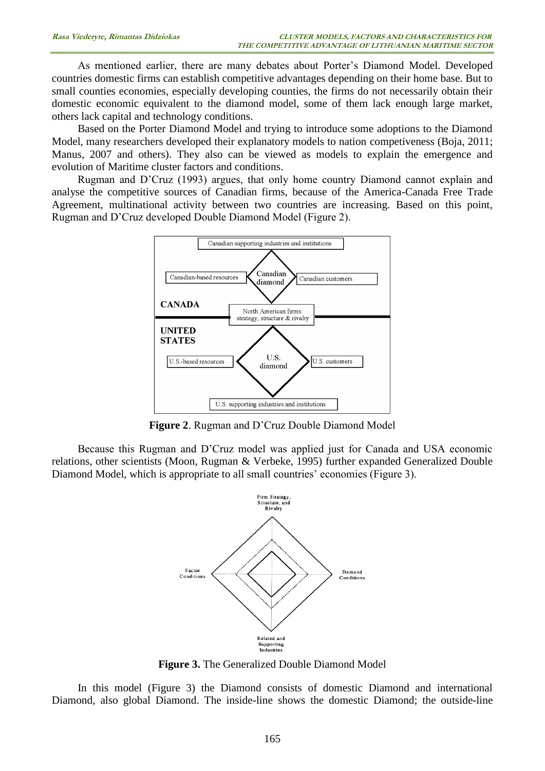As mentioned earlier, there are many debates about Porter's Diamond Model. Developed countries domestic firms can establish competitive advantages depending on their home base. But to small counties economies, especially developing counties, the firms do not necessarily obtain their domestic economic equivalent to the diamond model, some of them lack enough large market, others lack capital and technology conditions.

Based on the Porter Diamond Model and trying to introduce some adoptions to the Diamond Model, many researchers developed their explanatory models to nation competiveness (Boja, 2011; Manus, 2007 and others). They also can be viewed as models to explain the emergence and evolution of Maritime cluster factors and conditions.

Rugman and D'Cruz (1993) argues, that only home country Diamond cannot explain and analyse the competitive sources of Canadian firms, because of the America-Canada Free Trade Agreement, multinational activity between two countries are increasing. Based on this point, Rugman and D'Cruz developed Double Diamond Model (Figure 2).



**Figure 2**. Rugman and D'Cruz Double Diamond Model

Because this Rugman and D'Cruz model was applied just for Canada and USA economic relations, other scientists (Moon, Rugman & Verbeke, 1995) further expanded Generalized Double Diamond Model, which is appropriate to all small countries' economies (Figure 3).



**Figure 3.** The Generalized Double Diamond Model

In this model (Figure 3) the Diamond consists of domestic Diamond and international Diamond, also global Diamond. The inside-line shows the domestic Diamond; the outside-line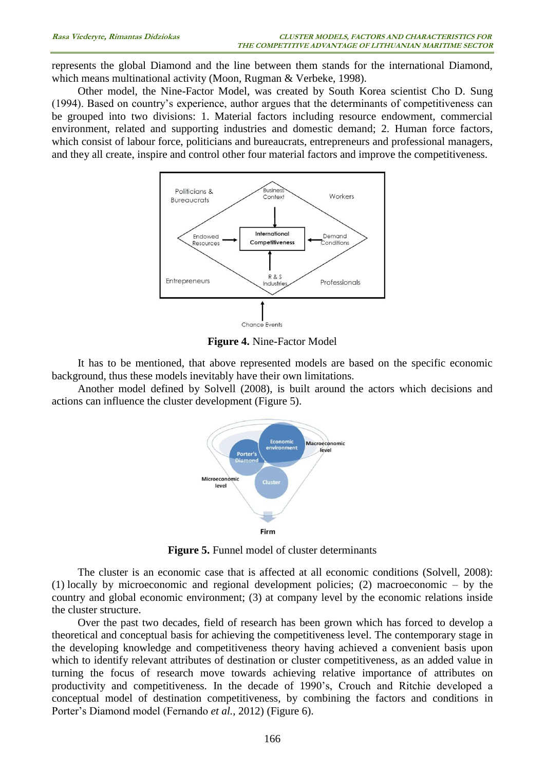represents the global Diamond and the line between them stands for the international Diamond, which means multinational activity (Moon, Rugman & Verbeke, 1998).

Other model, the Nine-Factor Model, was created by South Korea scientist Cho D. Sung (1994). Based on country's experience, author argues that the determinants of competitiveness can be grouped into two divisions: 1. Material factors including resource endowment, commercial environment, related and supporting industries and domestic demand; 2. Human force factors, which consist of labour force, politicians and bureaucrats, entrepreneurs and professional managers, and they all create, inspire and control other four material factors and improve the competitiveness.



**Figure 4.** Nine-Factor Model

It has to be mentioned, that above represented models are based on the specific economic background, thus these models inevitably have their own limitations.

Another model defined by Solvell (2008), is built around the actors which decisions and actions can influence the cluster development (Figure 5).



**Figure 5.** Funnel model of cluster determinants

The cluster is an economic case that is affected at all economic conditions (Solvell, 2008): (1) locally by microeconomic and regional development policies; (2) macroeconomic – by the country and global economic environment; (3) at company level by the economic relations inside the cluster structure.

Over the past two decades, field of research has been grown which has forced to develop a theoretical and conceptual basis for achieving the competitiveness level. The contemporary stage in the developing knowledge and competitiveness theory having achieved a convenient basis upon which to identify relevant attributes of destination or cluster competitiveness, as an added value in turning the focus of research move towards achieving relative importance of attributes on productivity and competitiveness. In the decade of 1990's, Crouch and Ritchie developed a conceptual model of destination competitiveness, by combining the factors and conditions in Porter's Diamond model (Fernando *et al.*, 2012) (Figure 6).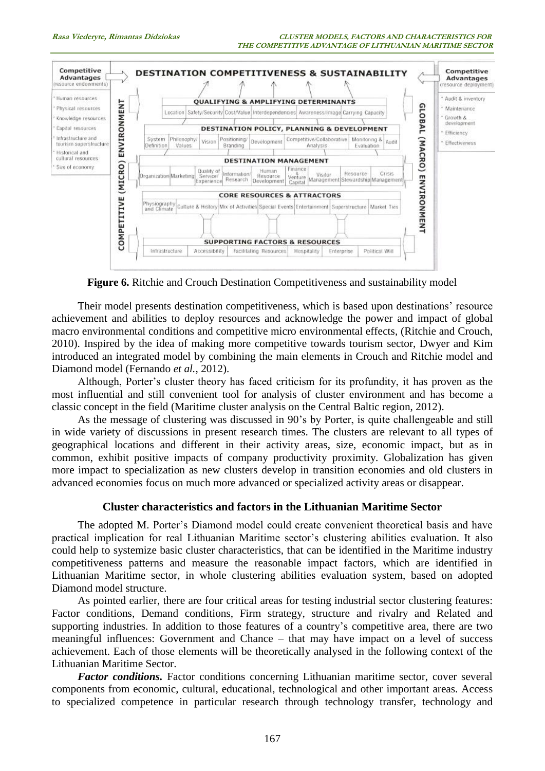

**Figure 6.** Ritchie and Crouch Destination Competitiveness and sustainability model

Their model presents destination competitiveness, which is based upon destinations' resource achievement and abilities to deploy resources and acknowledge the power and impact of global macro environmental conditions and competitive micro environmental effects, (Ritchie and Crouch, 2010). Inspired by the idea of making more competitive towards tourism sector, Dwyer and Kim introduced an integrated model by combining the main elements in Crouch and Ritchie model and Diamond model (Fernando *et al.*, 2012).

Although, Porter's cluster theory has faced criticism for its profundity, it has proven as the most influential and still convenient tool for analysis of cluster environment and has become a classic concept in the field (Maritime cluster analysis on the Central Baltic region, 2012).

As the message of clustering was discussed in 90's by Porter, is quite challengeable and still in wide variety of discussions in present research times. The clusters are relevant to all types of geographical locations and different in their activity areas, size, economic impact, but as in common, exhibit positive impacts of company productivity proximity. Globalization has given more impact to specialization as new clusters develop in transition economies and old clusters in advanced economies focus on much more advanced or specialized activity areas or disappear.

# **Cluster characteristics and factors in the Lithuanian Maritime Sector**

The adopted M. Porter's Diamond model could create convenient theoretical basis and have practical implication for real Lithuanian Maritime sector's clustering abilities evaluation. It also could help to systemize basic cluster characteristics, that can be identified in the Maritime industry competitiveness patterns and measure the reasonable impact factors, which are identified in Lithuanian Maritime sector, in whole clustering abilities evaluation system, based on adopted Diamond model structure.

As pointed earlier, there are four critical areas for testing industrial sector clustering features: Factor conditions, Demand conditions, Firm strategy, structure and rivalry and Related and supporting industries. In addition to those features of a country's competitive area, there are two meaningful influences: Government and Chance – that may have impact on a level of success achievement. Each of those elements will be theoretically analysed in the following context of the Lithuanian Maritime Sector.

*Factor conditions.* Factor conditions concerning Lithuanian maritime sector, cover several components from economic, cultural, educational, technological and other important areas. Access to specialized competence in particular research through technology transfer, technology and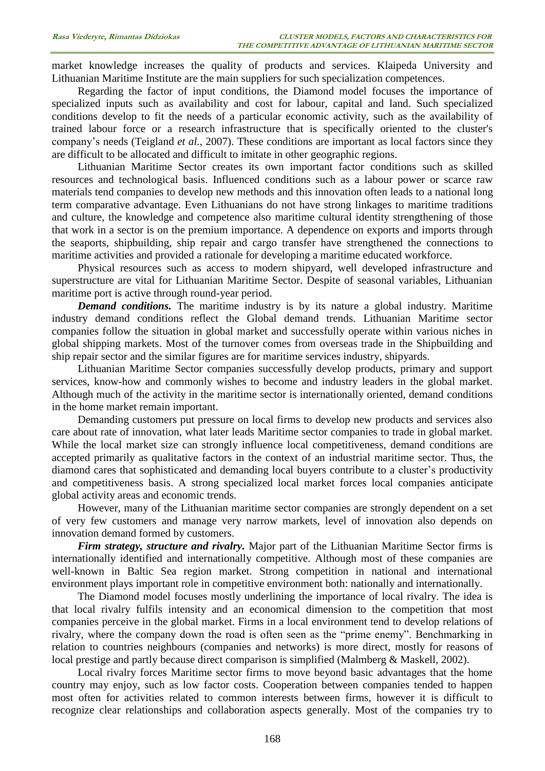market knowledge increases the quality of products and services. Klaipeda University and Lithuanian Maritime Institute are the main suppliers for such specialization competences.

Regarding the factor of input conditions, the Diamond model focuses the importance of specialized inputs such as availability and cost for labour, capital and land. Such specialized conditions develop to fit the needs of a particular economic activity, such as the availability of trained labour force or a research infrastructure that is specifically oriented to the cluster's company's needs (Teigland *et al.*, 2007). These conditions are important as local factors since they are difficult to be allocated and difficult to imitate in other geographic regions.

Lithuanian Maritime Sector creates its own important factor conditions such as skilled resources and technological basis. Influenced conditions such as a labour power or scarce raw materials tend companies to develop new methods and this innovation often leads to a national long term comparative advantage. Even Lithuanians do not have strong linkages to maritime traditions and culture, the knowledge and competence also maritime cultural identity strengthening of those that work in a sector is on the premium importance. A dependence on exports and imports through the seaports, shipbuilding, ship repair and cargo transfer have strengthened the connections to maritime activities and provided a rationale for developing a maritime educated workforce.

Physical resources such as access to modern shipyard, well developed infrastructure and superstructure are vital for Lithuanian Maritime Sector. Despite of seasonal variables, Lithuanian maritime port is active through round-year period.

*Demand conditions.* The maritime industry is by its nature a global industry. Maritime industry demand conditions reflect the Global demand trends. Lithuanian Maritime sector companies follow the situation in global market and successfully operate within various niches in global shipping markets. Most of the turnover comes from overseas trade in the Shipbuilding and ship repair sector and the similar figures are for maritime services industry, shipyards.

Lithuanian Maritime Sector companies successfully develop products, primary and support services, know-how and commonly wishes to become and industry leaders in the global market. Although much of the activity in the maritime sector is internationally oriented, demand conditions in the home market remain important.

Demanding customers put pressure on local firms to develop new products and services also care about rate of innovation, what later leads Maritime sector companies to trade in global market. While the local market size can strongly influence local competitiveness, demand conditions are accepted primarily as qualitative factors in the context of an industrial maritime sector. Thus, the diamond cares that sophisticated and demanding local buyers contribute to a cluster's productivity and competitiveness basis. A strong specialized local market forces local companies anticipate global activity areas and economic trends.

However, many of the Lithuanian maritime sector companies are strongly dependent on a set of very few customers and manage very narrow markets, level of innovation also depends on innovation demand formed by customers.

*Firm strategy, structure and rivalry.* Major part of the Lithuanian Maritime Sector firms is internationally identified and internationally competitive. Although most of these companies are well-known in Baltic Sea region market. Strong competition in national and international environment plays important role in competitive environment both: nationally and internationally.

The Diamond model focuses mostly underlining the importance of local rivalry. The idea is that local rivalry fulfils intensity and an economical dimension to the competition that most companies perceive in the global market. Firms in a local environment tend to develop relations of rivalry, where the company down the road is often seen as the "prime enemy". Benchmarking in relation to countries neighbours (companies and networks) is more direct, mostly for reasons of local prestige and partly because direct comparison is simplified (Malmberg & Maskell, 2002).

Local rivalry forces Maritime sector firms to move beyond basic advantages that the home country may enjoy, such as low factor costs. Cooperation between companies tended to happen most often for activities related to common interests between firms, however it is difficult to recognize clear relationships and collaboration aspects generally. Most of the companies try to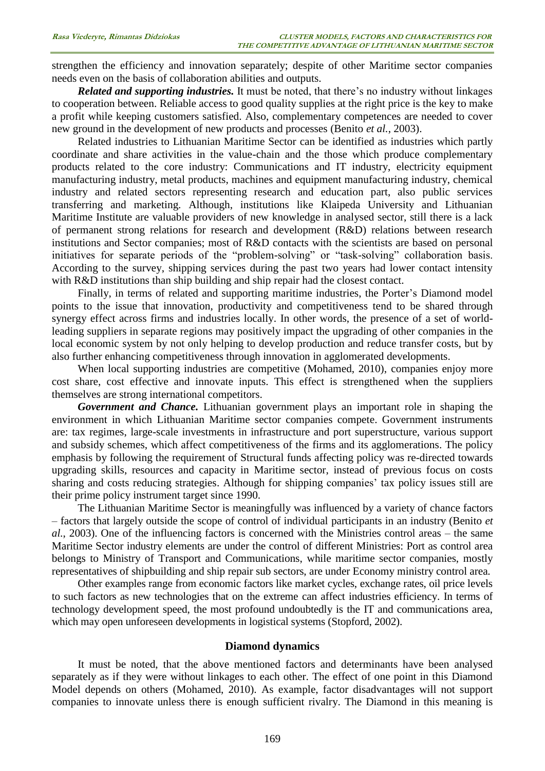strengthen the efficiency and innovation separately; despite of other Maritime sector companies needs even on the basis of collaboration abilities and outputs.

*Related and supporting industries.* It must be noted, that there's no industry without linkages to cooperation between. Reliable access to good quality supplies at the right price is the key to make a profit while keeping customers satisfied. Also, complementary competences are needed to cover new ground in the development of new products and processes (Benito *et al.*, 2003).

Related industries to Lithuanian Maritime Sector can be identified as industries which partly coordinate and share activities in the value-chain and the those which produce complementary products related to the core industry: Communications and IT industry, electricity equipment manufacturing industry, metal products, machines and equipment manufacturing industry, chemical industry and related sectors representing research and education part, also public services transferring and marketing. Although, institutions like Klaipeda University and Lithuanian Maritime Institute are valuable providers of new knowledge in analysed sector, still there is a lack of permanent strong relations for research and development (R&D) relations between research institutions and Sector companies; most of R&D contacts with the scientists are based on personal initiatives for separate periods of the "problem-solving" or "task-solving" collaboration basis. According to the survey, shipping services during the past two years had lower contact intensity with R&D institutions than ship building and ship repair had the closest contact.

Finally, in terms of related and supporting maritime industries, the Porter's Diamond model points to the issue that innovation, productivity and competitiveness tend to be shared through synergy effect across firms and industries locally. In other words, the presence of a set of worldleading suppliers in separate regions may positively impact the upgrading of other companies in the local economic system by not only helping to develop production and reduce transfer costs, but by also further enhancing competitiveness through innovation in agglomerated developments.

When local supporting industries are competitive (Mohamed, 2010), companies enjoy more cost share, cost effective and innovate inputs. This effect is strengthened when the suppliers themselves are strong international competitors.

*Government and Chance.* Lithuanian government plays an important role in shaping the environment in which Lithuanian Maritime sector companies compete. Government instruments are: tax regimes, large-scale investments in infrastructure and port superstructure, various support and subsidy schemes, which affect competitiveness of the firms and its agglomerations. The policy emphasis by following the requirement of Structural funds affecting policy was re-directed towards upgrading skills, resources and capacity in Maritime sector, instead of previous focus on costs sharing and costs reducing strategies. Although for shipping companies' tax policy issues still are their prime policy instrument target since 1990.

The Lithuanian Maritime Sector is meaningfully was influenced by a variety of chance factors – factors that largely outside the scope of control of individual participants in an industry (Benito *et al.*, 2003). One of the influencing factors is concerned with the Ministries control areas – the same Maritime Sector industry elements are under the control of different Ministries: Port as control area belongs to Ministry of Transport and Communications, while maritime sector companies, mostly representatives of shipbuilding and ship repair sub sectors, are under Economy ministry control area.

Other examples range from economic factors like market cycles, exchange rates, oil price levels to such factors as new technologies that on the extreme can affect industries efficiency. In terms of technology development speed, the most profound undoubtedly is the IT and communications area, which may open unforeseen developments in logistical systems (Stopford, 2002).

### **Diamond dynamics**

It must be noted, that the above mentioned factors and determinants have been analysed separately as if they were without linkages to each other. The effect of one point in this Diamond Model depends on others (Mohamed, 2010). As example, factor disadvantages will not support companies to innovate unless there is enough sufficient rivalry. The Diamond in this meaning is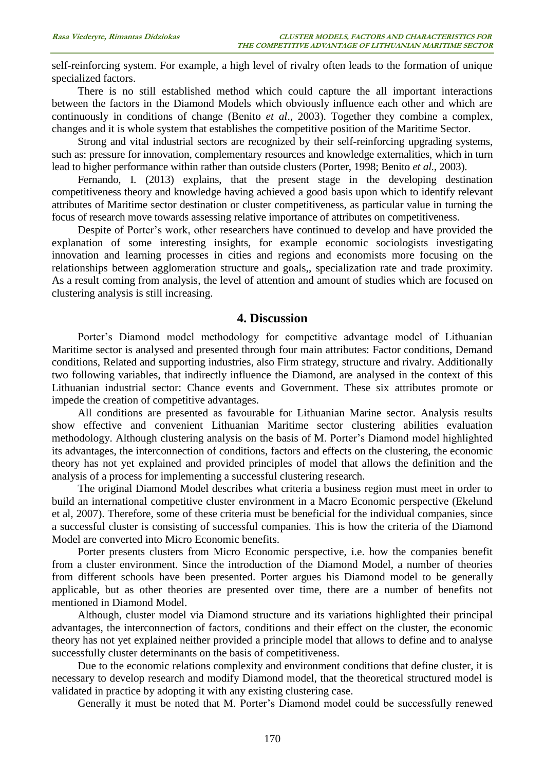self-reinforcing system. For example, a high level of rivalry often leads to the formation of unique specialized factors.

There is no still established method which could capture the all important interactions between the factors in the Diamond Models which obviously influence each other and which are continuously in conditions of change (Benito *et al*., 2003). Together they combine a complex, changes and it is whole system that establishes the competitive position of the Maritime Sector.

Strong and vital industrial sectors are recognized by their self-reinforcing upgrading systems, such as: pressure for innovation, complementary resources and knowledge externalities, which in turn lead to higher performance within rather than outside clusters (Porter, 1998; Benito *et al.*, 2003).

Fernando, I. (2013) explains, that the present stage in the developing destination competitiveness theory and knowledge having achieved a good basis upon which to identify relevant attributes of Maritime sector destination or cluster competitiveness, as particular value in turning the focus of research move towards assessing relative importance of attributes on competitiveness.

Despite of Porter's work, other researchers have continued to develop and have provided the explanation of some interesting insights, for example economic sociologists investigating innovation and learning processes in cities and regions and economists more focusing on the relationships between agglomeration structure and goals,, specialization rate and trade proximity. As a result coming from analysis, the level of attention and amount of studies which are focused on clustering analysis is still increasing.

# **4. Discussion**

Porter's Diamond model methodology for competitive advantage model of Lithuanian Maritime sector is analysed and presented through four main attributes: Factor conditions, Demand conditions, Related and supporting industries, also Firm strategy, structure and rivalry. Additionally two following variables, that indirectly influence the Diamond, are analysed in the context of this Lithuanian industrial sector: Chance events and Government. These six attributes promote or impede the creation of competitive advantages.

All conditions are presented as favourable for Lithuanian Marine sector. Analysis results show effective and convenient Lithuanian Maritime sector clustering abilities evaluation methodology. Although clustering analysis on the basis of M. Porter's Diamond model highlighted its advantages, the interconnection of conditions, factors and effects on the clustering, the economic theory has not yet explained and provided principles of model that allows the definition and the analysis of a process for implementing a successful clustering research.

The original Diamond Model describes what criteria a business region must meet in order to build an international competitive cluster environment in a Macro Economic perspective (Ekelund et al, 2007). Therefore, some of these criteria must be beneficial for the individual companies, since a successful cluster is consisting of successful companies. This is how the criteria of the Diamond Model are converted into Micro Economic benefits.

Porter presents clusters from Micro Economic perspective, i.e. how the companies benefit from a cluster environment. Since the introduction of the Diamond Model, a number of theories from different schools have been presented. Porter argues his Diamond model to be generally applicable, but as other theories are presented over time, there are a number of benefits not mentioned in Diamond Model.

Although, cluster model via Diamond structure and its variations highlighted their principal advantages, the interconnection of factors, conditions and their effect on the cluster, the economic theory has not yet explained neither provided a principle model that allows to define and to analyse successfully cluster determinants on the basis of competitiveness.

Due to the economic relations complexity and environment conditions that define cluster, it is necessary to develop research and modify Diamond model, that the theoretical structured model is validated in practice by adopting it with any existing clustering case.

Generally it must be noted that M. Porter's Diamond model could be successfully renewed